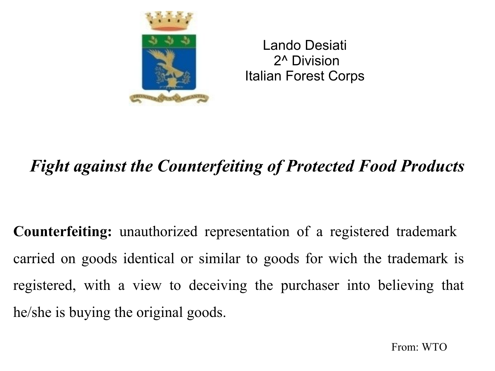

Lando Desiati 2^ Division Italian Forest Corps

# *Fight against the Counterfeiting of Protected Food Products*

**Counterfeiting:** unauthorized representation of a registered trademark carried on goods identical or similar to goods for wich the trademark is registered, with a view to deceiving the purchaser into believing that he/she is buying the original goods.

From: WTO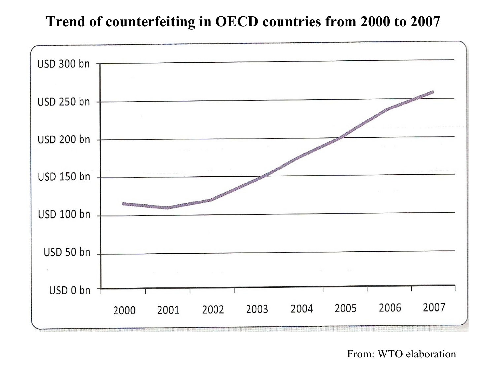## **Trend of counterfeiting in OECD countries from 2000 to 2007**



From: WTO elaboration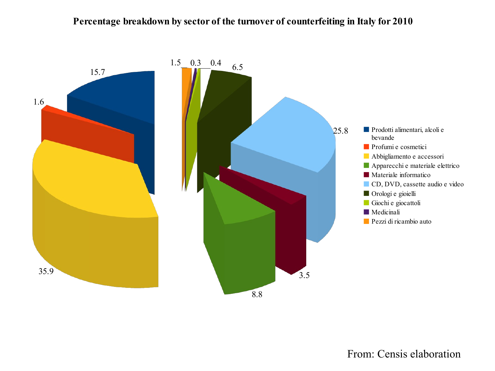#### **Percentage breakdown by sector of the turnover of counterfeiting in Italy for 2010**



### From: Censis elaboration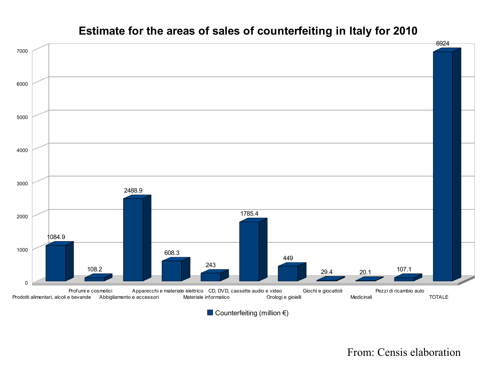#### Prodotti alimentari, alcoli e bevande Profumi e cosmetici Abbigliamento e accessori Apparecchi e materiale elettrico CD, DVD, cassette audio e video Materiale informatico Orologi e gioielli Giochi e giocattoli Medicinali Pezzi di ricambio auto TOTALE 0 1000 2000 3000 4000 5000 6000 7000 1084.9 108.2 2488.9 608.3 243 1785.4 449 29.4 20.1 <sup>107.1</sup> 6924

## **Estimate for the areas of sales of counterfeiting in Italy for 2010**

Counterfeiting (million  $\epsilon$ )

From: Censis elaboration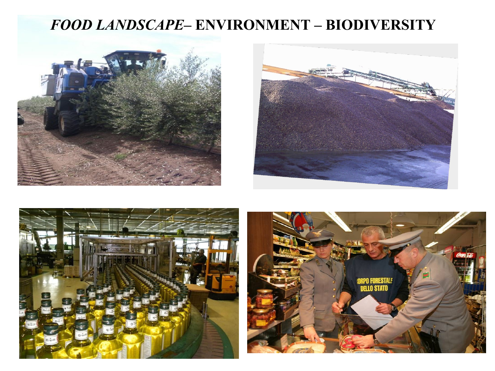## *FOOD LANDSCAPE***– ENVIRONMENT – BIODIVERSITY**